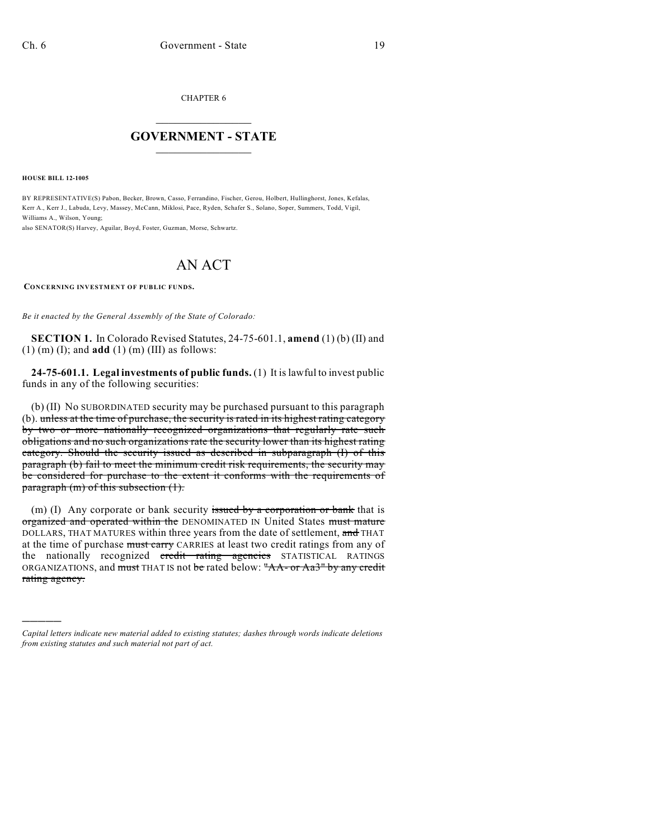CHAPTER 6

## $\mathcal{L}_\text{max}$  . The set of the set of the set of the set of the set of the set of the set of the set of the set of the set of the set of the set of the set of the set of the set of the set of the set of the set of the set **GOVERNMENT - STATE**  $\_$   $\_$   $\_$   $\_$   $\_$   $\_$   $\_$   $\_$   $\_$

**HOUSE BILL 12-1005**

)))))

BY REPRESENTATIVE(S) Pabon, Becker, Brown, Casso, Ferrandino, Fischer, Gerou, Holbert, Hullinghorst, Jones, Kefalas, Kerr A., Kerr J., Labuda, Levy, Massey, McCann, Miklosi, Pace, Ryden, Schafer S., Solano, Soper, Summers, Todd, Vigil, Williams A., Wilson, Young;

also SENATOR(S) Harvey, Aguilar, Boyd, Foster, Guzman, Morse, Schwartz.

## AN ACT

**CONCERNING INVESTMENT OF PUBLIC FUNDS.**

*Be it enacted by the General Assembly of the State of Colorado:*

**SECTION 1.** In Colorado Revised Statutes, 24-75-601.1, **amend** (1) (b) (II) and (1) (m) (I); and **add** (1) (m) (III) as follows:

**24-75-601.1. Legal investments of public funds.** (1) It is lawful to invest public funds in any of the following securities:

(b) (II) No SUBORDINATED security may be purchased pursuant to this paragraph (b). unless at the time of purchase, the security is rated in its highest rating category by two or more nationally recognized organizations that regularly rate such obligations and no such organizations rate the security lower than its highest rating category. Should the security issued as described in subparagraph (I) of this paragraph (b) fail to meet the minimum credit risk requirements, the security may be considered for purchase to the extent it conforms with the requirements of paragraph (m) of this subsection (1).

(m) (I) Any corporate or bank security issued by a corporation or bank that is organized and operated within the DENOMINATED IN United States must mature DOLLARS, THAT MATURES within three years from the date of settlement, and THAT at the time of purchase must carry CARRIES at least two credit ratings from any of the nationally recognized credit rating agencies STATISTICAL RATINGS ORGANIZATIONS, and must THAT IS not be rated below: "AA- or Aa3" by any credit rating agency.

*Capital letters indicate new material added to existing statutes; dashes through words indicate deletions from existing statutes and such material not part of act.*